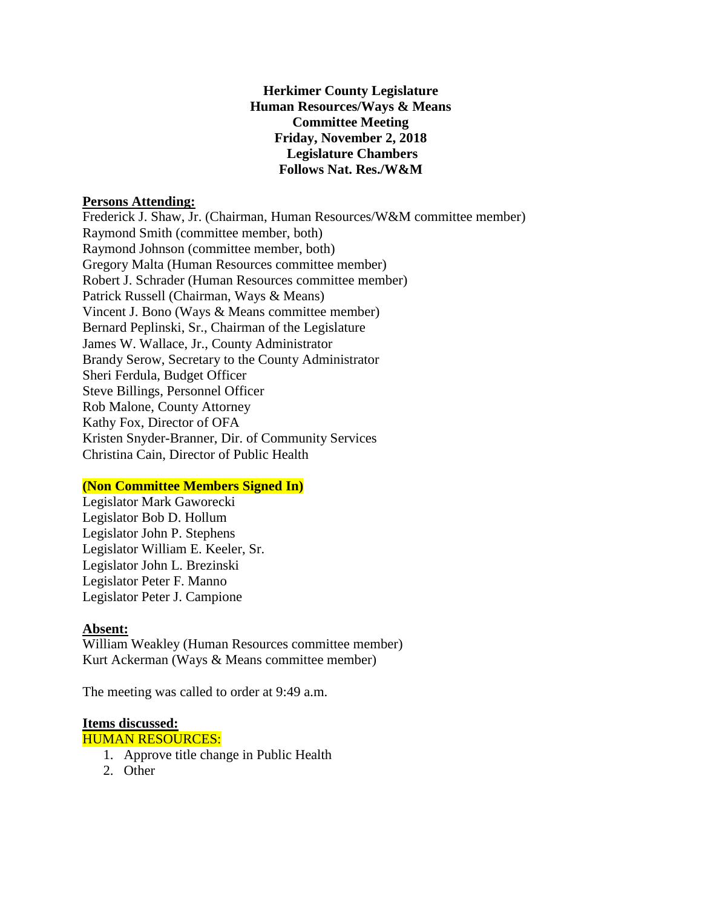# **Herkimer County Legislature Human Resources/Ways & Means Committee Meeting Friday, November 2, 2018 Legislature Chambers Follows Nat. Res./W&M**

## **Persons Attending:**

Frederick J. Shaw, Jr. (Chairman, Human Resources/W&M committee member) Raymond Smith (committee member, both) Raymond Johnson (committee member, both) Gregory Malta (Human Resources committee member) Robert J. Schrader (Human Resources committee member) Patrick Russell (Chairman, Ways & Means) Vincent J. Bono (Ways & Means committee member) Bernard Peplinski, Sr., Chairman of the Legislature James W. Wallace, Jr., County Administrator Brandy Serow, Secretary to the County Administrator Sheri Ferdula, Budget Officer Steve Billings, Personnel Officer Rob Malone, County Attorney Kathy Fox, Director of OFA Kristen Snyder-Branner, Dir. of Community Services Christina Cain, Director of Public Health

# **(Non Committee Members Signed In)**

Legislator Mark Gaworecki Legislator Bob D. Hollum Legislator John P. Stephens Legislator William E. Keeler, Sr. Legislator John L. Brezinski Legislator Peter F. Manno Legislator Peter J. Campione

### **Absent:**

William Weakley (Human Resources committee member) Kurt Ackerman (Ways & Means committee member)

The meeting was called to order at 9:49 a.m.

### **Items discussed:**

HUMAN RESOURCES:

- 1. Approve title change in Public Health
- 2. Other